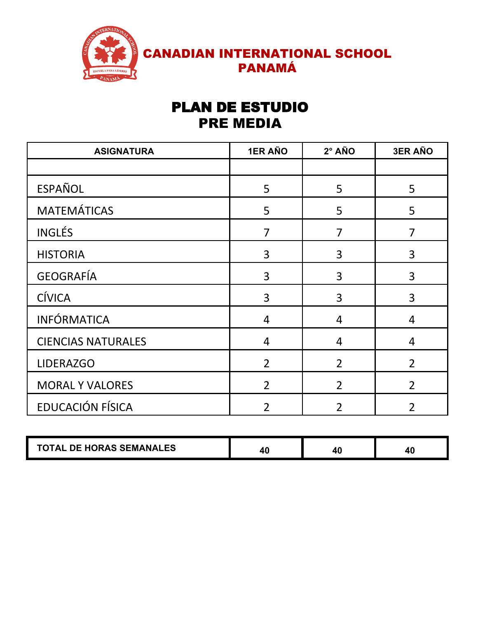

## PLAN DE ESTUDIO PRE MEDIA

| <b>ASIGNATURA</b>         | <b>1ER AÑO</b> | 2° AÑO         | <b>3ER AÑO</b> |
|---------------------------|----------------|----------------|----------------|
|                           |                |                |                |
| <b>ESPAÑOL</b>            | 5              | 5              | 5              |
| <b>MATEMÁTICAS</b>        | 5              | 5              | 5              |
| <b>INGLÉS</b>             | $\overline{7}$ | $\overline{7}$ | $\overline{7}$ |
| <b>HISTORIA</b>           | 3              | 3              | 3              |
| <b>GEOGRAFÍA</b>          | 3              | 3              | 3              |
| <b>CÍVICA</b>             | 3              | 3              | 3              |
| <b>INFÓRMATICA</b>        | $\overline{4}$ | 4              | 4              |
| <b>CIENCIAS NATURALES</b> | $\overline{4}$ | $\overline{4}$ | $\overline{4}$ |
| <b>LIDERAZGO</b>          | $\overline{2}$ | $\overline{2}$ | $\overline{2}$ |
| <b>MORAL Y VALORES</b>    | $\overline{2}$ | $\overline{2}$ | $\overline{2}$ |
| EDUCACIÓN FÍSICA          | $\overline{2}$ | $\overline{2}$ | $\overline{2}$ |

| <b>DE HORAS SEMANALES</b><br>TAL.<br>u |  |  |  |
|----------------------------------------|--|--|--|
|----------------------------------------|--|--|--|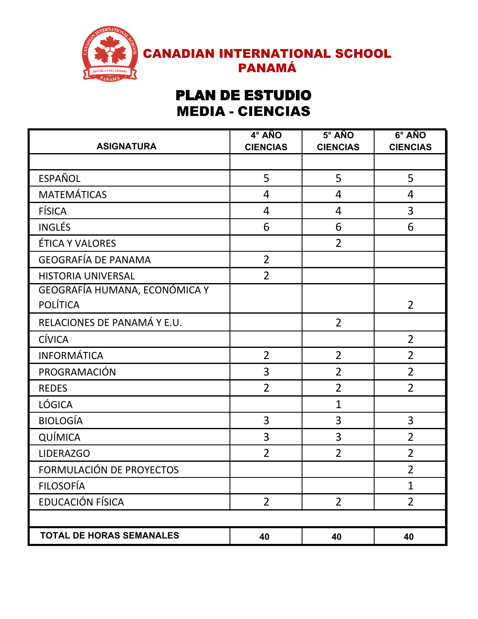

## **PLAN DE ESTUDIO** MEDIA - CIENCIAS

| <b>ASIGNATURA</b>               | 4° AÑO<br><b>CIENCIAS</b> | $5^\circ$ AÑO<br><b>CIENCIAS</b> | 6° AÑO<br><b>CIENCIAS</b> |
|---------------------------------|---------------------------|----------------------------------|---------------------------|
|                                 |                           |                                  |                           |
| <b>ESPAÑOL</b>                  | 5                         | 5                                | 5                         |
| <b>MATEMÁTICAS</b>              | $\overline{4}$            | 4                                | $\overline{4}$            |
| <b>FÍSICA</b>                   | $\overline{4}$            | 4                                | 3                         |
| <b>INGLÉS</b>                   | 6                         | 6                                | 6                         |
| ÉTICA Y VALORES                 |                           | $\overline{2}$                   |                           |
| <b>GEOGRAFÍA DE PANAMA</b>      | $\overline{2}$            |                                  |                           |
| <b>HISTORIA UNIVERSAL</b>       | $\overline{2}$            |                                  |                           |
| GEOGRAFÍA HUMANA, ECONÓMICA Y   |                           |                                  |                           |
| <b>POLÍTICA</b>                 |                           |                                  | $\overline{2}$            |
| RELACIONES DE PANAMÁ Y E.U.     |                           | $\overline{2}$                   |                           |
| <b>CÍVICA</b>                   |                           |                                  | $\overline{2}$            |
| <b>INFORMÁTICA</b>              | $\overline{2}$            | $\overline{2}$                   | $\overline{2}$            |
| PROGRAMACIÓN                    | 3                         | $\overline{2}$                   | $\overline{2}$            |
| <b>REDES</b>                    | $\overline{2}$            | $\overline{2}$                   | $\overline{2}$            |
| LÓGICA                          |                           | $\overline{1}$                   |                           |
| <b>BIOLOGÍA</b>                 | 3                         | 3                                | 3                         |
| QUÍMICA                         | 3                         | 3                                | $\overline{2}$            |
| <b>LIDERAZGO</b>                | $\overline{2}$            | $\overline{2}$                   | $\overline{2}$            |
| FORMULACIÓN DE PROYECTOS        |                           |                                  | $\overline{2}$            |
| <b>FILOSOFÍA</b>                |                           |                                  | $\mathbf{1}$              |
| EDUCACIÓN FÍSICA                | $\overline{2}$            | $\overline{2}$                   | $\overline{2}$            |
|                                 |                           |                                  |                           |
| <b>TOTAL DE HORAS SEMANALES</b> | 40                        | 40                               | 40                        |